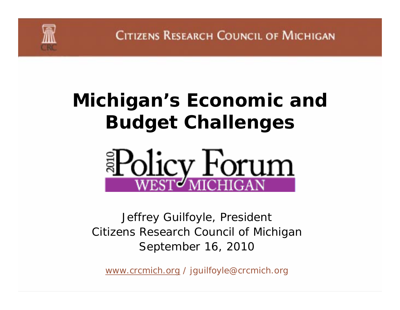# **Michigan's Economic and Budget Challenges**



Jeffrey Guilfoyle, President Citizens Research Council of Michigan September 16, 2010

*www.crcmich.org / jguilfoyle@crcmich.org*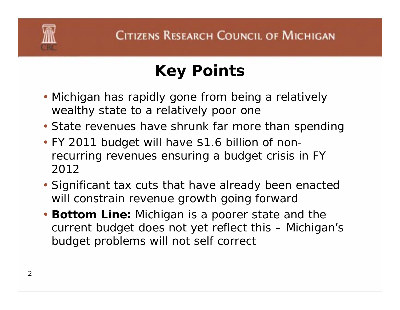

# **Key Points**

- Michigan has rapidly gone from being a relatively wealthy state to a relatively poor one
- State revenues have shrunk far more than spending
- FY 2011 budget will have \$1.6 billion of nonrecurring revenues ensuring a budget crisis in FY 2012
- Significant tax cuts that have already been enacted will constrain revenue growth going forward
- **Bottom Line:** Michigan is a poorer state and the current budget does not yet reflect this – Michigan's budget problems will not self correct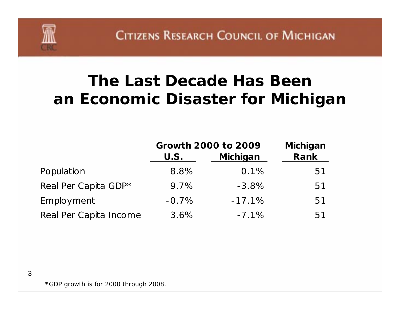### **The Last Decade Has Beenan Economic Disaster for Michigan**

|                        | <b>Growth 2000 to 2009</b> | <b>Michigan</b> |      |
|------------------------|----------------------------|-----------------|------|
|                        | U.S.                       | Michigan        | Rank |
| Population             | 8.8%                       | 0.1%            | 51   |
| Real Per Capita GDP*   | 9.7%                       | $-3.8%$         | 51   |
| Employment             | $-0.7\%$                   | $-17.1%$        | 51   |
| Real Per Capita Income | 3.6%                       | $-7.1%$         | 51   |

\*GDP growth is for 2000 through 2008.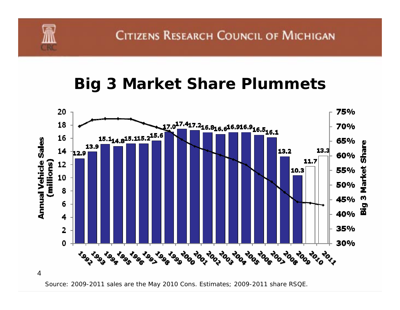#### **Big 3 Market Share Plummets**



Source: 2009-2011 sales are the May 2010 Cons. Estimates; 2009-2011 share RSQE.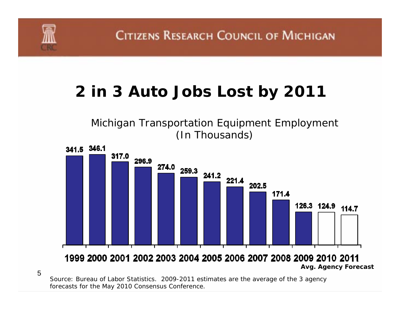#### **2 in 3 Auto Jobs Lost by 2011**

Michigan Transportation Equipment Employment (In Thousands)



Source: Bureau of Labor Statistics. 2009-2011 estimates are the average of the 3 agency forecasts for the May 2010 Consensus Conference.

5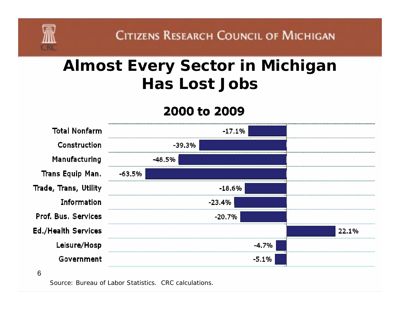### **Almost Every Sector in Michigan Has Lost Jobs**

#### 2000 to 2009

| <b>Total Nonfarm</b>       | $-17.1\%$ |     |
|----------------------------|-----------|-----|
| Construction               | $-39.3%$  |     |
| Manufacturing              | -48.5%    |     |
| Trans Equip Man.           | -63.5%    |     |
| Trade, Trans, Utility      | $-18.6\%$ |     |
| <b>Information</b>         | $-23.4%$  |     |
| Prof. Bus. Services        | -20.7%    |     |
| <b>Ed./Health Services</b> |           | 0/- |
| Leisure/Hosp               | $-4.7\%$  |     |
| Government                 | $-5.1%$   |     |
| 6                          |           |     |

Source: Bureau of Labor Statistics. CRC calculations.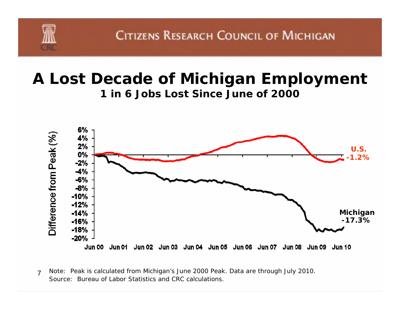#### **A Lost Decade of Michigan Employment 1 in 6 Jobs Lost Since June of 2000**



<sup>7</sup>Source: Bureau of Labor Statistics and CRC calculations.Note: Peak is calculated from Michigan's June 2000 Peak. Data are through July 2010.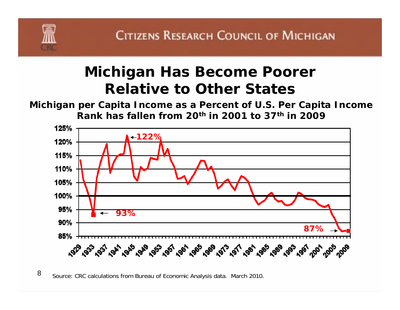

#### **Michigan Has Become Poorer Relative to Other States**

**Michigan per Capita Income as a Percent of U.S. Per Capita Income Rank has fallen from 20th in 2001 to 37th in 2009**



8Source: CRC calculations from Bureau of Economic Analysis data. March 2010.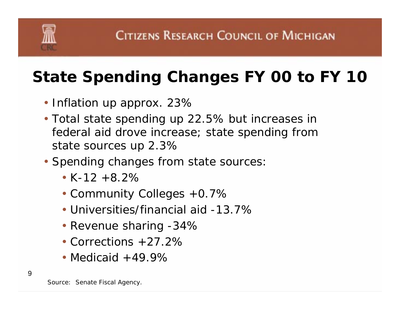## **State Spending Changes FY 00 to FY 10**

- Inflation up approx. 23%
- Total state spending up 22.5% but increases in federal aid drove increase; state spending from state sources up 2.3%
- Spending changes from state sources:
	- K-12 +8.2%
	- Community Colleges +0.7%
	- Universities/financial aid -13.7%
	- Revenue sharing -34%
	- Corrections +27.2%
	- Medicaid  $+49.9\%$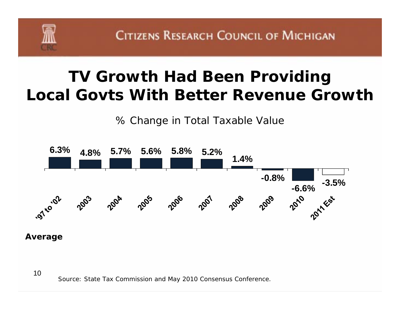

### **TV Growth Had Been Providing Local Govts With Better Revenue Growth**

% Change in Total Taxable Value



#### **Average**

Source: State Tax Commission and May 2010 Consensus Conference.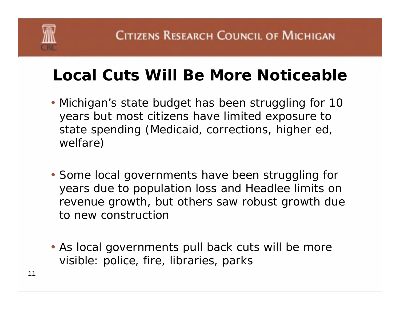

## **Local Cuts Will Be More Noticeable**

- Michigan's state budget has been struggling for 10 years but most citizens have limited exposure to state spending (Medicaid, corrections, higher ed, welfare)
- Some local governments have been struggling for years due to population loss and Headlee limits on revenue growth, but others saw robust growth due to new construction
- As local governments pull back cuts will be more visible: police, fire, libraries, parks

11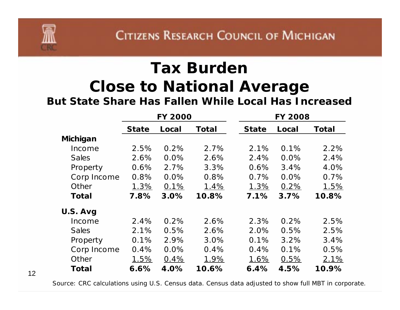## **Tax Burden Close to National Average**

**But State Share Has Fallen While Local Has Increased**

|              | <b>FY 2000</b> |         |              |              | <b>FY 2008</b> |       |  |  |
|--------------|----------------|---------|--------------|--------------|----------------|-------|--|--|
|              | <b>State</b>   | Local   | <b>Total</b> | <b>State</b> | Local          | Total |  |  |
| Michigan     |                |         |              |              |                |       |  |  |
| Income       | 2.5%           | 0.2%    | 2.7%         | 2.1%         | 0.1%           | 2.2%  |  |  |
| <b>Sales</b> | 2.6%           | $0.0\%$ | 2.6%         | 2.4%         | 0.0%           | 2.4%  |  |  |
| Property     | 0.6%           | 2.7%    | 3.3%         | 0.6%         | 3.4%           | 4.0%  |  |  |
| Corp Income  | 0.8%           | 0.0%    | 0.8%         | 0.7%         | 0.0%           | 0.7%  |  |  |
| Other        | 1.3%           | 0.1%    | 1.4%         | 1.3%         | 0.2%           | 1.5%  |  |  |
| Total        | 7.8%           | 3.0%    | 10.8%        | 7.1%         | 3.7%           | 10.8% |  |  |
| U.S. Avg     |                |         |              |              |                |       |  |  |
| Income       | 2.4%           | 0.2%    | 2.6%         | 2.3%         | 0.2%           | 2.5%  |  |  |
| <b>Sales</b> | 2.1%           | 0.5%    | 2.6%         | 2.0%         | 0.5%           | 2.5%  |  |  |
| Property     | 0.1%           | 2.9%    | 3.0%         | 0.1%         | 3.2%           | 3.4%  |  |  |
| Corp Income  | 0.4%           | 0.0%    | 0.4%         | 0.4%         | 0.1%           | 0.5%  |  |  |
| Other        | 1.5%           | 0.4%    | 1.9%         | 1.6%         | 0.5%           | 2.1%  |  |  |
| <b>Total</b> | 6.6%           | 4.0%    | 10.6%        | 6.4%         | 4.5%           | 10.9% |  |  |

12

Source: CRC calculations using U.S. Census data. Census data adjusted to show full MBT in corporate.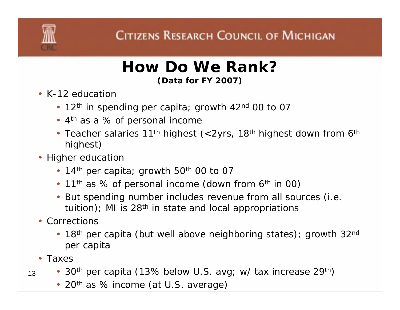#### **How Do We Rank?(Data for FY 2007)**

- K-12 education
	- 12<sup>th</sup> in spending per capita; growth 42<sup>nd</sup> 00 to 07
	- 4<sup>th</sup> as a % of personal income
	- Teacher salaries 11<sup>th</sup> highest (<2yrs, 18<sup>th</sup> highest down from 6<sup>th</sup> highest)
- Higher education
	- 14<sup>th</sup> per capita; growth 50<sup>th</sup> 00 to 07
	- 11<sup>th</sup> as % of personal income (down from 6<sup>th</sup> in 00)
	- But spending number includes revenue from all sources (i.e. tuition); MI is  $28<sup>th</sup>$  in state and local appropriations
- Corrections
	- 18<sup>th</sup> per capita (but well above neighboring states); growth 32<sup>nd</sup> per capita
- Taxes
- 13• 30<sup>th</sup> per capita (13% below U.S. avg; w/ tax increase 29<sup>th</sup>)
	- 20<sup>th</sup> as % income (at U.S. average)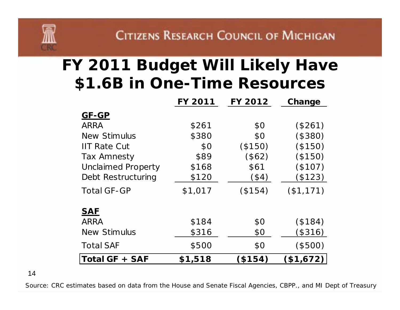## **FY 2011 Budget Will Likely Have \$1.6B in One-Time Resources**

|                           | <b>FY 2011</b> | <b>FY 2012</b> | Change    |
|---------------------------|----------------|----------------|-----------|
| <b>GF-GP</b>              |                |                |           |
| <b>ARRA</b>               | \$261          | \$0            | (\$261)   |
| <b>New Stimulus</b>       | \$380          | \$0            | (\$380)   |
| <b>IIT Rate Cut</b>       | \$0            | (\$150)        | (\$150)   |
| <b>Tax Amnesty</b>        | \$89           | (\$62)         | (\$150)   |
| <b>Unclaimed Property</b> | \$168          | \$61           | (\$107)   |
| Debt Restructuring        | \$120          | (\$4)          | (\$123)   |
| <b>Total GF-GP</b>        | \$1,017        | (\$154)        | (\$1,171) |
| <b>SAF</b>                |                |                |           |
| <b>ARRA</b>               | \$184          | \$0            | (\$184)   |
| <b>New Stimulus</b>       | \$316          | \$0            | (\$316)   |
| <b>Total SAF</b>          | \$500          | \$0            | $(\$500)$ |
| Total GF + SAF            | \$1,518        | (\$154)        | \$1,672)  |

14

Source: CRC estimates based on data from the House and Senate Fiscal Agencies, CBPP., and MI Dept of Treasury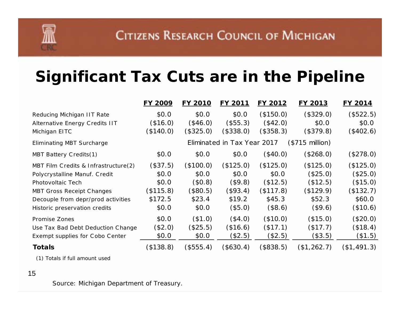### **Significant Tax Cuts are in the Pipeline**

|                                      | <b>FY 2009</b>                                          | <b>FY 2010</b> | FY 2011   | FY 2012   | FY 2013     | FY 2014     |
|--------------------------------------|---------------------------------------------------------|----------------|-----------|-----------|-------------|-------------|
| Reducing Michigan IIT Rate           | \$0.0                                                   | \$0.0          | \$0.0\$   | (\$150.0) | (\$329.0)   | (\$522.5)   |
| Alternative Energy Credits IIT       | (\$16.0)                                                | (\$46.0)       | (\$55.3)  | (\$42.0)  | \$0.0       | \$0.0       |
| Michigan EITC                        | (\$140.0)                                               | (\$325.0)      | (\$338.0) | (\$358.3) | (\$379.8)   | (\$402.6)   |
| <b>Eliminating MBT Surcharge</b>     | Eliminated in Tax Year 2017<br>$($715 \text{ million})$ |                |           |           |             |             |
| MBT Battery Credits(1)               | \$0.0                                                   | \$0.0          | \$0.0     | (\$40.0)  | (\$268.0)   | (\$278.0)   |
| MBT Film Credits & Infrastructure(2) | (\$37.5)                                                | (\$100.0)      | (\$125.0) | (\$125.0) | (\$125.0)   | (\$125.0)   |
| Polycrystalline Manuf. Credit        | \$0.0                                                   | \$0.0          | \$0.0     | \$0.0     | (\$25.0)    | (\$25.0)    |
| Photovoltaic Tech                    | \$0.0                                                   | \$0.8\$        | (\$9.8)   | (\$12.5)  | (\$12.5)    | (\$15.0)    |
| <b>MBT Gross Receipt Changes</b>     | (\$115.8)                                               | (\$80.5)       | (\$93.4)  | (\$117.8) | (\$129.9)   | (\$132.7)   |
| Decouple from depr/prod activities   | \$172.5                                                 | \$23.4         | \$19.2    | \$45.3    | \$52.3      | \$60.0      |
| Historic preservation credits        | \$0.0                                                   | \$0.0          | (\$5.0)   | (\$8.6)   | (\$9.6)     | (\$10.6)    |
| Promise Zones                        | \$0.0                                                   | (\$1.0)        | (\$4.0)   | (\$10.0)  | (\$15.0)    | (\$20.0)    |
| Use Tax Bad Debt Deduction Change    | (\$2.0)                                                 | (\$25.5)       | (\$16.6)  | (\$17.1)  | (\$17.7)    | (\$18.4)    |
| Exempt supplies for Cobo Center      | \$0.0                                                   | \$0.0          | (\$2.5)   | (\$2.5)   | (\$3.5)     | (\$1.5)     |
| <b>Totals</b>                        | (\$138.8)                                               | (\$555.4)      | (\$630.4) | (\$838.5) | (\$1,262.7) | (\$1,491.3) |

(1) Totals if full amount used

#### 15

Source: Michigan Department of Treasury.